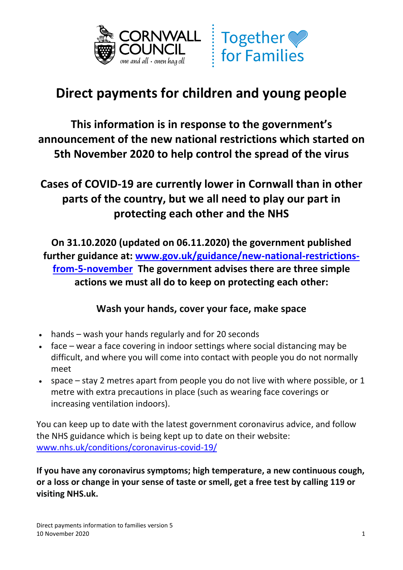

# **Together**  $for$  Families

## **Direct payments for children and young people**

**This information is in response to the government's announcement of the new national restrictions which started on 5th November 2020 to help control the spread of the virus** 

### **Cases of COVID-19 are currently lower in Cornwall than in other parts of the country, but we all need to play our part in protecting each other and the NHS**

 **[from-5-november](http://www.gov.uk/guidance/new-national-restrictions-from-5-november) The government advises there are three simple On 31.10.2020 (updated on 06.11.2020) the government published further guidance at: [www.gov.uk/guidance/new-national-restrictions](http://www.gov.uk/guidance/new-national-restrictions-from-5-november)actions we must all do to keep on protecting each other:** 

### **Wash your hands, cover your face, make space**

- hands wash your hands regularly and for 20 seconds
- • face wear a face covering in indoor settings where social distancing may be difficult, and where you will come into contact with people you do not normally meet
- • space stay 2 metres apart from people you do not live with where possible, or 1 metre with extra precautions in place (such as wearing face coverings or increasing ventilation indoors).

 increasing ventilation indoors). You can keep up to date with the latest government coronavirus advice, and follow the NHS guidance which is being kept up to date on their website: [www.nhs.uk/conditions/coronavirus-covid-19/](http://www.nhs.uk/conditions/coronavirus-covid-19/) 

 **If you have any coronavirus symptoms; high temperature, a new continuous cough, or a loss or change in your sense of taste or smell, get a free test by calling 119 or visiting NHS.uk.**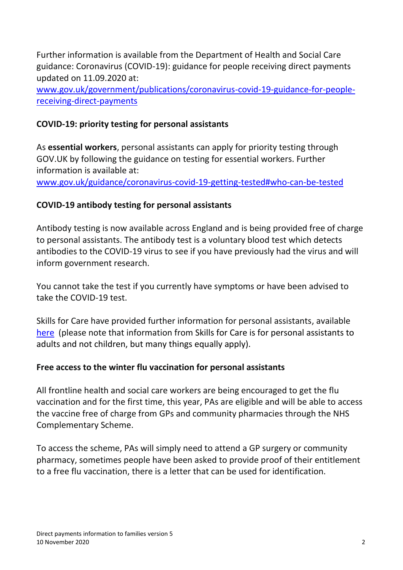Further information is available from the Department of Health and Social Care updated on 11.09.2020 at: guidance: Coronavirus (COVID-19): guidance for people receiving direct payments

[www.gov.uk/government/publications/coronavirus-covid-19-guidance-for-people](http://www.gov.uk/government/publications/coronavirus-covid-19-guidance-for-people-receiving-direct-payments)[receiving-direct-payments](http://www.gov.uk/government/publications/coronavirus-covid-19-guidance-for-people-receiving-direct-payments) 

#### **COVID-19: priority testing for personal assistants**

 As **essential workers**, personal assistants can apply for priority testing through information is available at: GOV.UK by following the guidance on testing for essential workers. Further

www.gov.uk/guidance/coronavirus-covid-19-getting-tested#who-can-be-tested

#### **COVID-19 antibody testing for personal assistants**

 Antibody testing is now available across England and is being provided free of charge antibodies to the COVID-19 virus to see if you have previously had the virus and will to personal assistants. The antibody test is a voluntary blood test which detects inform government research.

 You cannot take the test if you currently have symptoms or have been advised to take the COVID-19 test.

 Skills for Care have provided further information for personal assistants, available [here](https://www.skillsforcare.org.uk/Employing-your-own-care-and-support/Working-as-a-personal-assistant/COVID-19-personal-assistants.aspx?_cldee=YWJhbmNyb2Z0QGNvcm53YWxsLmdvdi51aw%3d%3d&recipientid=contact-c7555b0e3eaee61194120050568779ad-21061506481a40629dd2c87ab41c5388&esid=0b143ac5-0c12-eb11-a813-000d3a86a8cf) (please note that information from Skills for Care is for personal assistants to adults and not children, but many things equally apply).

#### **Free access to the winter flu vaccination for personal assistants**

 All frontline health and social care workers are being encouraged to get the flu vaccination and for the first time, this year, PAs are eligible and will be able to access the vaccine free of charge from GPs and community pharmacies through the NHS Complementary Scheme.

 To access the scheme, PAs will simply need to attend a GP surgery or community to a free flu vaccination, there is a letter that can be used for identification. pharmacy, sometimes people have been asked to provide proof of their entitlement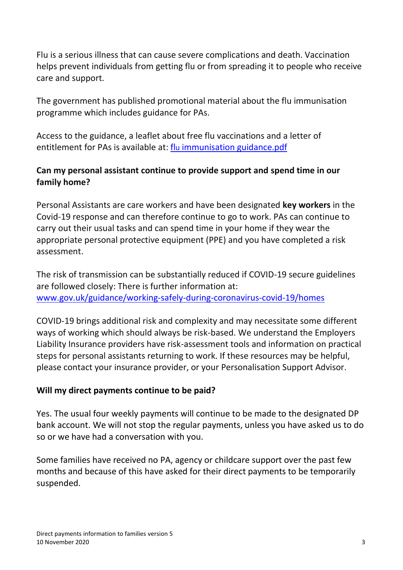Flu is a serious illness that can cause severe complications and death. Vaccination helps prevent individuals from getting flu or from spreading it to people who receive care and support.

 programme which includes guidance for PAs. The government has published promotional material about the flu immunisation

 Access to the guidance, a leaflet about free flu vaccinations and a letter of entitlement for PAs is available at: *flu immunisation guidance.pdf* 

#### **Can my personal assistant continue to provide support and spend time in our family home?**

 Personal Assistants are care workers and have been designated **key workers** in the Covid-19 response and can therefore continue to go to work. PAs can continue to carry out their usual tasks and can spend time in your home if they wear the appropriate personal protective equipment (PPE) and you have completed a risk assessment.

 The risk of transmission can be substantially reduced if COVID-19 secure guidelines are followed closely: There is further information at: [www.gov.uk/guidance/working-safely-during-coronavirus-covid-19/homes](http://www.gov.uk/guidance/working-safely-during-coronavirus-covid-19/homes) 

 ways of working which should always be risk-based. We understand the Employers Liability Insurance providers have risk-assessment tools and information on practical steps for personal assistants returning to work. If these resources may be helpful, please contact your insurance provider, or your Personalisation Support Advisor. COVID-19 brings additional risk and complexity and may necessitate some different

#### **Will my direct payments continue to be paid?**

 Yes. The usual four weekly payments will continue to be made to the designated DP bank account. We will not stop the regular payments, unless you have asked us to do so or we have had a conversation with you.

 months and because of this have asked for their direct payments to be temporarily Some families have received no PA, agency or childcare support over the past few suspended.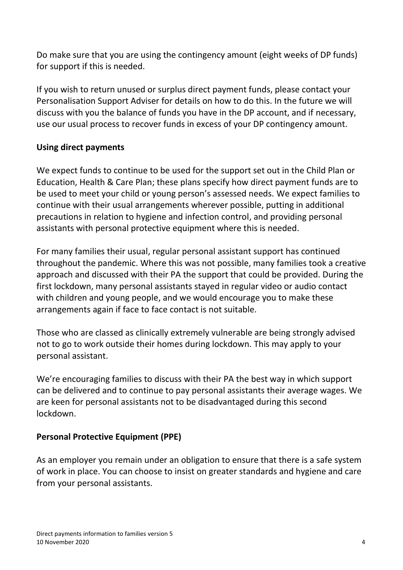Do make sure that you are using the contingency amount (eight weeks of DP funds) for support if this is needed.

 If you wish to return unused or surplus direct payment funds, please contact your Personalisation Support Adviser for details on how to do this. In the future we will discuss with you the balance of funds you have in the DP account, and if necessary, use our usual process to recover funds in excess of your DP contingency amount.

#### **Using direct payments**

 We expect funds to continue to be used for the support set out in the Child Plan or be used to meet your child or young person's assessed needs. We expect families to continue with their usual arrangements wherever possible, putting in additional precautions in relation to hygiene and infection control, and providing personal Education, Health & Care Plan; these plans specify how direct payment funds are to assistants with personal protective equipment where this is needed.

 with children and young people, and we would encourage you to make these For many families their usual, regular personal assistant support has continued throughout the pandemic. Where this was not possible, many families took a creative approach and discussed with their PA the support that could be provided. During the first lockdown, many personal assistants stayed in regular video or audio contact arrangements again if face to face contact is not suitable.

Those who are classed as clinically extremely vulnerable are being strongly advised not to go to work outside their homes during lockdown. This may apply to your personal assistant.

 We're encouraging families to discuss with their PA the best way in which support are keen for personal assistants not to be disadvantaged during this second can be delivered and to continue to pay personal assistants their average wages. We lockdown.

#### **Personal Protective Equipment (PPE)**

 As an employer you remain under an obligation to ensure that there is a safe system of work in place. You can choose to insist on greater standards and hygiene and care from your personal assistants.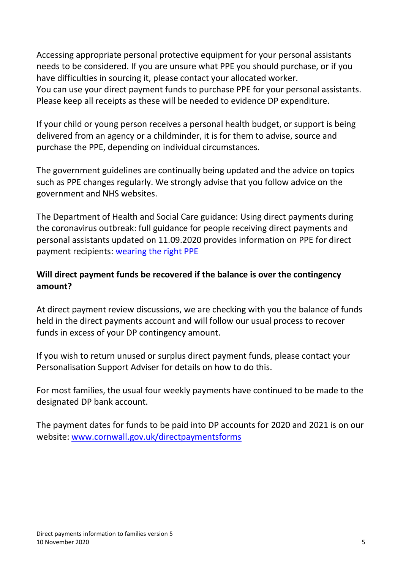needs to be considered. If you are unsure what PPE you should purchase, or if you have difficulties in sourcing it, please contact your allocated worker. You can use your direct payment funds to purchase PPE for your personal assistants. Accessing appropriate personal protective equipment for your personal assistants Please keep all receipts as these will be needed to evidence DP expenditure.

 If your child or young person receives a personal health budget, or support is being delivered from an agency or a childminder, it is for them to advise, source and purchase the PPE, depending on individual circumstances.

 The government guidelines are continually being updated and the advice on topics such as PPE changes regularly. We strongly advise that you follow advice on the government and NHS websites.

 The Department of Health and Social Care guidance: Using direct payments during personal assistants updated on 11.09.2020 provides information on PPE for direct the coronavirus outbreak: full guidance for people receiving direct payments and payment recipients: [wearing the right PPE](http://www.gov.uk/government/publications/coronavirus-covid-19-guidance-for-people-receiving-direct-payments/coronavirus-covid-19-qa-for-people-receiving-a-personal-budget-or-personal-health-budget#wearing-right-ppe) 

#### **Will direct payment funds be recovered if the balance is over the contingency amount?**

 At direct payment review discussions, we are checking with you the balance of funds held in the direct payments account and will follow our usual process to recover funds in excess of your DP contingency amount.

 If you wish to return unused or surplus direct payment funds, please contact your Personalisation Support Adviser for details on how to do this.

 designated DP bank account. For most families, the usual four weekly payments have continued to be made to the

 The payment dates for funds to be paid into DP accounts for 2020 and 2021 is on our website: [www.cornwall.gov.uk/directpaymentsforms](http://www.cornwall.gov.uk/directpaymentsforms)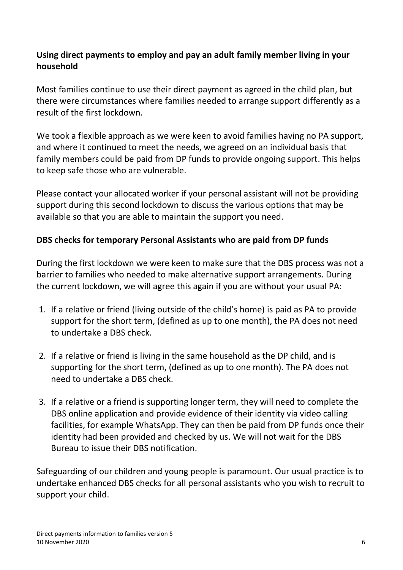#### **Using direct payments to employ and pay an adult family member living in your household**

 Most families continue to use their direct payment as agreed in the child plan, but there were circumstances where families needed to arrange support differently as a result of the first lockdown.

 and where it continued to meet the needs, we agreed on an individual basis that family members could be paid from DP funds to provide ongoing support. This helps We took a flexible approach as we were keen to avoid families having no PA support, to keep safe those who are vulnerable.

 available so that you are able to maintain the support you need. Please contact your allocated worker if your personal assistant will not be providing support during this second lockdown to discuss the various options that may be

#### **DBS checks for temporary Personal Assistants who are paid from DP funds**

 barrier to families who needed to make alternative support arrangements. During During the first lockdown we were keen to make sure that the DBS process was not a the current lockdown, we will agree this again if you are without your usual PA:

- support for the short term, (defined as up to one month), the PA does not need to undertake a DBS check. 1. If a relative or friend (living outside of the child's home) is paid as PA to provide
- 2. If a relative or friend is living in the same household as the DP child, and is supporting for the short term, (defined as up to one month). The PA does not need to undertake a DBS check.
- facilities, for example WhatsApp. They can then be paid from DP funds once their identity had been provided and checked by us. We will not wait for the DBS 3. If a relative or a friend is supporting longer term, they will need to complete the DBS online application and provide evidence of their identity via video calling Bureau to issue their DBS notification.

 Safeguarding of our children and young people is paramount. Our usual practice is to undertake enhanced DBS checks for all personal assistants who you wish to recruit to support your child.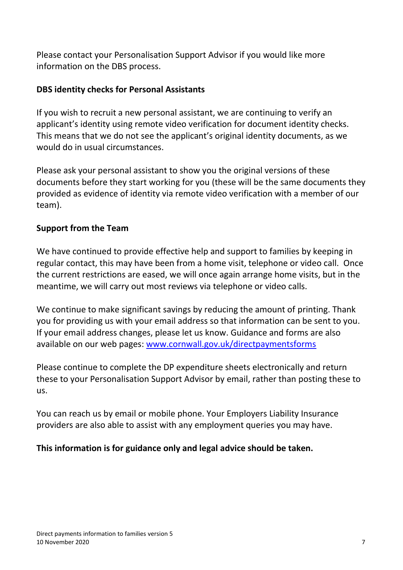Please contact your Personalisation Support Advisor if you would like more information on the DBS process.

#### **DBS identity checks for Personal Assistants**

 If you wish to recruit a new personal assistant, we are continuing to verify an applicant's identity using remote video verification for document identity checks. This means that we do not see the applicant's original identity documents, as we would do in usual circumstances.

 provided as evidence of identity via remote video verification with a member of our Please ask your personal assistant to show you the original versions of these documents before they start working for you (these will be the same documents they team).

#### **Support from the Team**

 regular contact, this may have been from a home visit, telephone or video call. Once meantime, we will carry out most reviews via telephone or video calls. We have continued to provide effective help and support to families by keeping in the current restrictions are eased, we will once again arrange home visits, but in the

 you for providing us with your email address so that information can be sent to you. If your email address changes, please let us know. Guidance and forms are also We continue to make significant savings by reducing the amount of printing. Thank available on our web pages: [www.cornwall.gov.uk/directpaymentsforms](http://www.cornwall.gov.uk/directpaymentsforms) 

 Please continue to complete the DP expenditure sheets electronically and return these to your Personalisation Support Advisor by email, rather than posting these to us.

 You can reach us by email or mobile phone. Your Employers Liability Insurance providers are also able to assist with any employment queries you may have.

#### **This information is for guidance only and legal advice should be taken.**